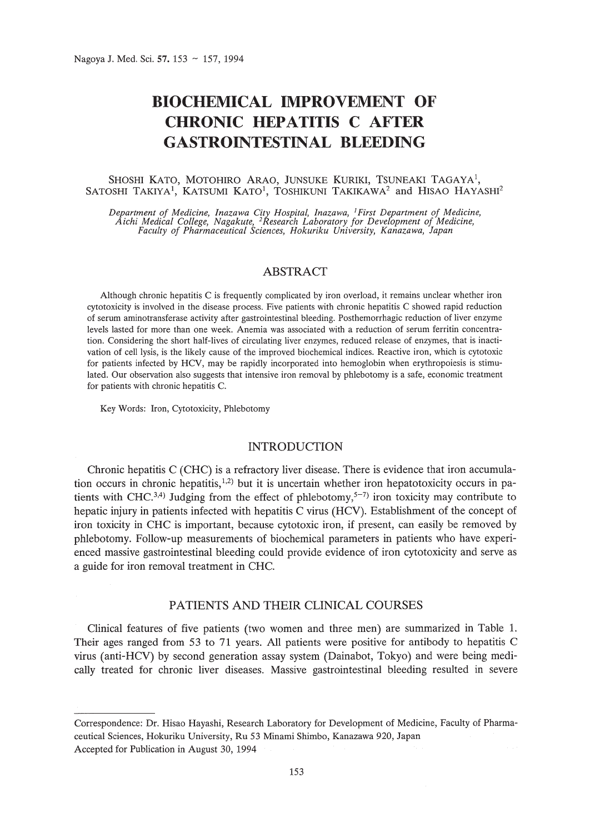# **BIOCHEMICAL IMPROVEMENT OF CHRONIC HEPATITIS C AFTER GASTROINTESTINAL BLEEDING**

# SHOSHI KATO, MOTOHIRO ARAO, JUNSUKE KURIKI, TSUNEAKI TAGAYA<sup>1</sup>, SATOSHI TAKIYA<sup>1</sup>, KATSUMI KATO<sup>1</sup>, TOSHIKUNI TAKIKAWA<sup>2</sup> and HISAO HAYASHI<sup>2</sup>

Department of Medicine, Inazawa City Hospital, Inazawa, <sup>1</sup>First Department of Medicine,<br>Aichi Medical College, Nagakute, <sup>2</sup>Research Laboratory for Development of Medicine,<br>Faculty of Pharmaceutical Sciences, Hokuriku Uni

# ABSTRACT

Although chronic hepatitis C is frequently complicated by iron overload, it remains unclear whether iron cytotoxicity is involved in the disease process. Five patients with chronic hepatitis C showed rapid reduction of serum aminotransferase activity after gastrointestinal bleeding. Posthemorrhagic reduction of liver enzyme levels lasted for more than one week. Anemia was associated with a reduction of serum ferritin concentration. Considering the short half-lives of circulating liver enzymes, reduced release of enzymes, that is inactivation of cell lysis, is the likely cause of the improved biochemical indices. Reactive iron, which is cytotoxic for patients infected by HCV, may be rapidly incorporated into hemoglobin when erythropoiesis is stimulated. Our observation also suggests that intensive iron removal by phlebotomy is a safe, economic treatment for patients with chronic hepatitis C.

Key Words: Iron, Cytotoxicity, Phlebotomy

# INTRODUCTION

Chronic hepatitis C (CHC) is a refractory liver disease. There is evidence that iron accumulation occurs in chronic hepatitis,<sup>1,2)</sup> but it is uncertain whether iron hepatotoxicity occurs in patients with CHC.<sup>3,4)</sup> Judging from the effect of phlebotomy,<sup>5-7)</sup> iron toxicity may contribute to hepatic injury in patients infected with hepatitis C virus (HCV). Establishment of the concept of iron toxicity in CHC is important, because cytotoxic iron, if present, can easily be removed by phlebotomy. Follow-up measurements of biochemical parameters in patients who have experienced massive gastrointestinal bleeding could provide evidence of iron cytotoxicity and serve as a guide for iron removal treatment in CHC.

# PATIENTS AND THEIR CLINICAL COURSES

Clinical features of five patients (two women and three men) are summarized in Table 1. Their ages ranged from 53 to 71 years. All patients were positive for antibody to hepatitis C virus (anti-HCV) by second generation assay system (Dainabot, Tokyo) and were being medically treated for chronic liver diseases. Massive gastrointestinal bleeding resulted in severe

Correspondence: Dr. Hisao Hayashi, Research Laboratory for Development of Medicine, Faculty of Pharmaceutical Sciences, Hokuriku University, Ru 53 Minami Shimbo, Kanazawa 920, Japan Accepted for Publication in August 30, 1994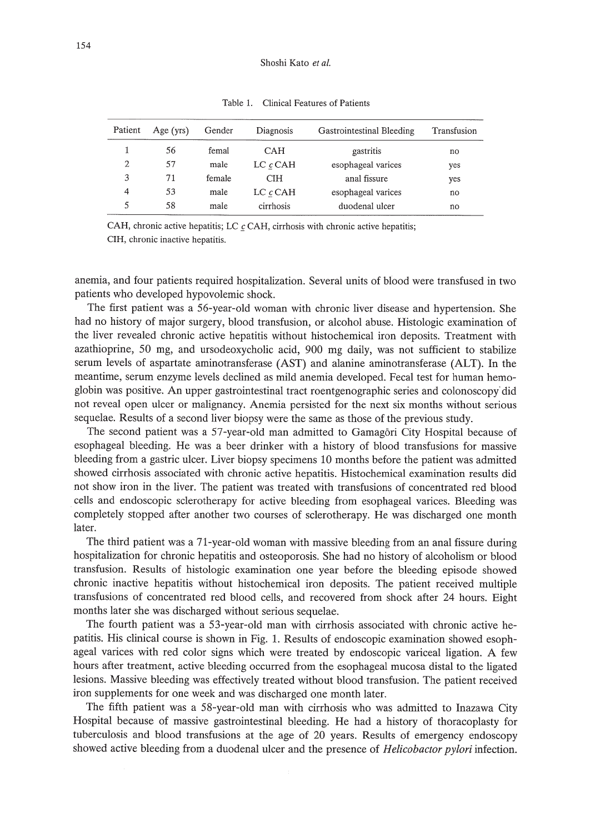| Patient | Age (yrs) | Gender | Diagnosis      | Gastrointestinal Bleeding | Transfusion |
|---------|-----------|--------|----------------|---------------------------|-------------|
|         | 56        | femal  | CAH            | gastritis                 | no          |
| 2       | 57        | male   | $LC$ $c$ $CAH$ | esophageal varices        | yes         |
| 3       | 71        | female | <b>CIH</b>     | anal fissure              | yes         |
| 4       | 53        | male   | $LC$ $c$ $CAH$ | esophageal varices        | no          |
| 5       | 58        | male   | cirrhosis      | duodenal ulcer            | no          |

Table 1. Clinical Features of Patients

CAH, chronic active hepatitis; LC  $c$  CAH, cirrhosis with chronic active hepatitis; CIH, chronic inactive hepatitis.

anemia, and four patients required hospitalization. Several units of blood were transfused in two patients who developed hypovolemic shock.

The first patient was a 56-year-old woman with chronic liver disease and hypertension. She had no history of major surgery, blood transfusion, or alcohol abuse. Histologic examination of the liver revealed chronic active hepatitis without histochemical iron deposits. Treatment with azathioprine, 50 mg, and ursodeoxycholic acid, 900 mg daily, was not sufficient to stabilize serum levels of aspartate aminotransferase (AST) and alanine aminotransferase (ALT). **In** the meantime, serum enzyme levels declined as mild anemia developed. Fecal test for human hemoglobin was positive. An upper gastrointestinal tract roentgenographic series and colonoscopy did not reveal open ulcer or malignancy. Anemia persisted for the next six months without serious sequelae. Results of a second liver biopsy were the same as those of the previous study.

The second patient was a 57-year-old man admitted to Gamagori City Hospital because of esophageal bleeding. He was a beer drinker with a history of blood transfusions for massive bleeding from a gastric ulcer. Liver biopsy specimens 10 months before the patient was admitted showed cirrhosis associated with chronic active hepatitis. Histochemical examination results did not show iron in the liver. The patient was treated with transfusions of concentrated red blood cells and endoscopic sclerotherapy for active bleeding from esophageal varices. Bleeding was completely stopped after another two courses of sclerotherapy. He was discharged one month later.

The third patient was a 71-year-old woman with massive bleeding from an anal fissure during hospitalization for chronic hepatitis and osteoporosis. She had no history of alcoholism or blood transfusion. Results of histologic examination one year before the bleeding episode showed chronic inactive hepatitis without histochemical iron deposits. The patient received multiple transfusions of concentrated red blood cells, and recovered from shock after 24 hours. Eight months later she was discharged without serious sequelae.

The fourth patient was a 53-year-old man with cirrhosis associated with chronic active hepatitis. His clinical course is shown in Fig. 1. Results of endoscopic examination showed esophageal varices with red color signs which were treated by endoscopic variceal ligation. A few hours after treatment, active bleeding occurred from the esophageal mucosa distal to the ligated lesions. Massive bleeding was effectively treated without blood transfusion. The patient received iron supplements for one week and was discharged one month later.

The fifth patient was a 58-year-old man with cirrhosis who was admitted to Inazawa City Hospital because of massive gastrointestinal bleeding. He had a history of thoracoplasty for tuberculosis and blood transfusions at the age of 20 years. Results of emergency endoscopy showed active bleeding from a duodenal ulcer and the presence of *Helicobactor pylori* infection.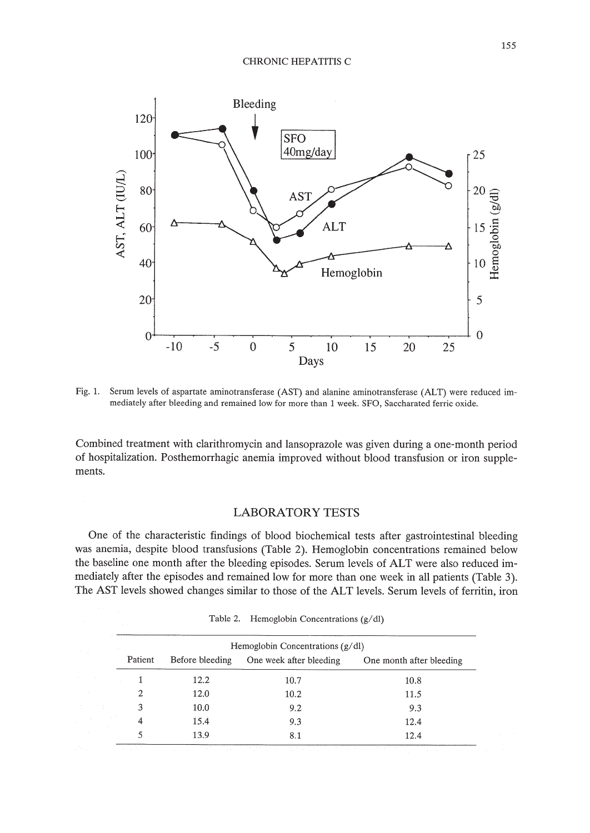

Fig. 1. Serum levels of aspartate aminotransferase (AST) and alanine aminotransferase (ALT) were reduced immediately after bleeding and remained low for more than 1 week. SFO, Saccharated ferric oxide.

Combined treatment with clarithromycin and lansoprazole was given during a one-month period of hospitalization. Posthemorrhagic anemia improved without blood transfusion or iron supplements.

# **LABORATORY TESTS**

One of the characteristic findings of blood biochemical tests after gastrointestinal bleeding was anemia, despite blood transfusions (Table 2). Hemoglobin concentrations remained below the baseline one month after the bleeding episodes. Serum levels of ALT were also reduced immediately after the episodes and remained low for more than one week in all patients (Table 3). The AST levels showed changes similar to those of the ALT levels. Serum levels of ferritin, iron

| Hemoglobin Concentrations $(g/dl)$ |                 |                         |                          |  |  |
|------------------------------------|-----------------|-------------------------|--------------------------|--|--|
| Patient                            | Before bleeding | One week after bleeding | One month after bleeding |  |  |
|                                    | 12.2            | 10.7                    | 10.8                     |  |  |
| 2                                  | 12.0            | 10.2                    | 11.5                     |  |  |
| 3                                  | 10.0            | 9.2                     | 9.3                      |  |  |
| 4                                  | 15.4            | 9.3                     | 12.4                     |  |  |
|                                    | 13.9            | 8.1                     | 12.4                     |  |  |

Table 2. Hemoglobin Concentrations  $(g/dl)$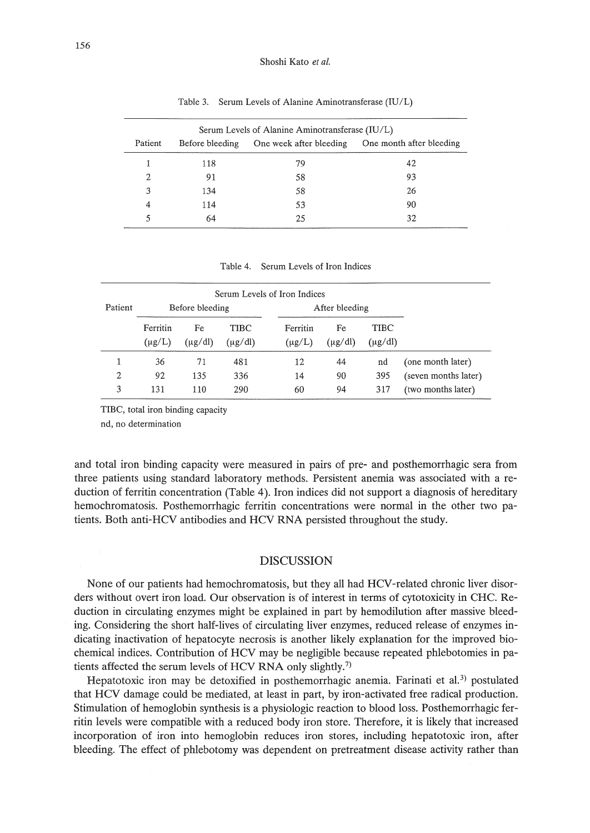| Serum Levels of Alanine Aminotransferase (IU/L) |                 |                         |                          |  |  |  |
|-------------------------------------------------|-----------------|-------------------------|--------------------------|--|--|--|
| Patient                                         | Before bleeding | One week after bleeding | One month after bleeding |  |  |  |
|                                                 | 118             | 79                      | 42                       |  |  |  |
| 2                                               | 91              | 58                      | 93                       |  |  |  |
| 3                                               | 134             | 58                      | 26                       |  |  |  |
| 4                                               | 114             | 53                      | 90                       |  |  |  |
|                                                 | 64              | 25                      | 32                       |  |  |  |

Table 3. Serum Levels of Alanine Aminotransferase (IU/L)

Table 4. Serum Levels of Iron Indices

| Serum Levels of Iron Indices |                         |                    |                      |                         |                    |                      |                      |
|------------------------------|-------------------------|--------------------|----------------------|-------------------------|--------------------|----------------------|----------------------|
| Patient                      | Before bleeding         |                    |                      | After bleeding          |                    |                      |                      |
|                              | Ferritin<br>$(\mu g/L)$ | Fe<br>$(\mu g/dl)$ | TIBC<br>$(\mu g/dl)$ | Ferritin<br>$(\mu g/L)$ | Fe<br>$(\mu g/dl)$ | TIBC<br>$(\mu g/dl)$ |                      |
|                              | 36                      | 71                 | 481                  | 12                      | 44                 | nd                   | (one month later)    |
| 2                            | 92                      | 135                | 336                  | 14                      | 90                 | 395                  | (seven months later) |
| 3                            | 131                     | 110                | 290                  | 60                      | 94                 | 317                  | (two months later)   |

TIBC, total iron binding capacity

nd, no determination

and total iron binding capacity were measured in pairs of pre- and posthemorrhagic sera from three patients using standard laboratory methods. Persistent anemia was associated with a reduction of ferritin concentration (Table 4). Iron indices did not support a diagnosis of hereditary hemochromatosis. Posthemorrhagic ferritin concentrations were normal in the other two patients. Both anti-HCY antibodies and HCY RNA persisted throughout the study.

# **DISCUSSION**

None of our patients had hemochromatosis, but they all had HCY-related chronic liver disorders without overt iron load. Our observation is of interest in terms of cytotoxicity in CHC. Reduction in circulating enzymes might be explained in part by hemodilution after massive bleeding. Considering the short half-lives of circulating liver enzymes, reduced release of enzymes indicating inactivation of hepatocyte necrosis is another likely explanation for the improved biochemical indices. Contribution of HCY may be negligible because repeated phlebotomies in patients affected the serum levels of HCY RNA only slightly.?)

Hepatotoxic iron may be detoxified in posthemorrhagic anemia. Farinati et al.<sup>3</sup>) postulated that HCY damage could be mediated, at least in part, by iron-activated free radical production. Stimulation of hemoglobin synthesis is a physiologic reaction to blood loss. Posthemorrhagic ferritin levels were compatible with a reduced body iron store. Therefore, it is likely that increased incorporation of iron into hemoglobin reduces iron stores, including hepatotoxic iron, after bleeding. The effect of phlebotomy was dependent on pretreatment disease activity rather than